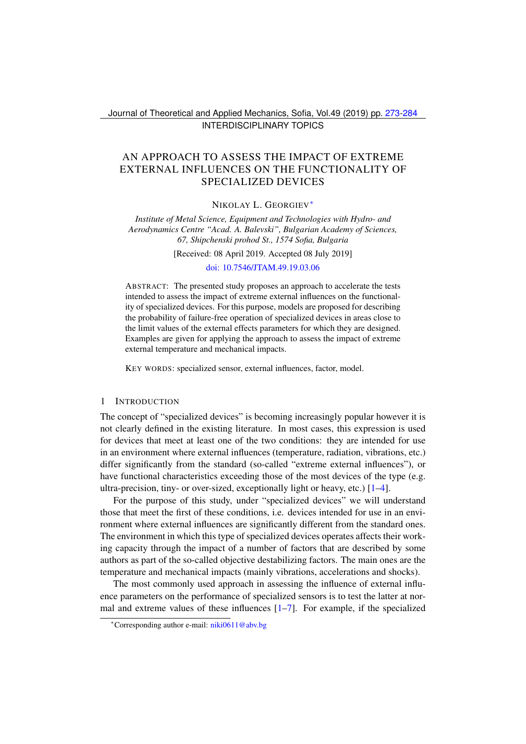Journal of Theoretical and Applied Mechanics, Sofia, Vol.49 (2019) pp. [273-](#page-0-0)[284](#page-11-0) INTERDISCIPLINARY TOPICS

# <span id="page-0-0"></span>AN APPROACH TO ASSESS THE IMPACT OF EXTREME EXTERNAL INFLUENCES ON THE FUNCTIONALITY OF SPECIALIZED DEVICES

NIKOLAY L. GEORGIEV[∗](#page-0-1)

*Institute of Metal Science, Equipment and Technologies with Hydro- and Aerodynamics Centre "Acad. A. Balevski", Bulgarian Academy of Sciences, 67, Shipchenski prohod St., 1574 Sofia, Bulgaria*

[Received: 08 April 2019. Accepted 08 July 2019]

[doi: 10.7546/JTAM.49.19.03.06](https://doi.org/10.7546/JTAM.49.19.03.06)

ABSTRACT: The presented study proposes an approach to accelerate the tests intended to assess the impact of extreme external influences on the functionality of specialized devices. For this purpose, models are proposed for describing the probability of failure-free operation of specialized devices in areas close to the limit values of the external effects parameters for which they are designed. Examples are given for applying the approach to assess the impact of extreme external temperature and mechanical impacts.

KEY WORDS: specialized sensor, external influences, factor, model.

#### 1 INTRODUCTION

The concept of "specialized devices" is becoming increasingly popular however it is not clearly defined in the existing literature. In most cases, this expression is used for devices that meet at least one of the two conditions: they are intended for use in an environment where external influences (temperature, radiation, vibrations, etc.) differ significantly from the standard (so-called "extreme external influences"), or have functional characteristics exceeding those of the most devices of the type (e.g. ultra-precision, tiny- or over-sized, exceptionally light or heavy, etc.) [\[1–](#page-10-0)[4\]](#page-11-1).

For the purpose of this study, under "specialized devices" we will understand those that meet the first of these conditions, i.e. devices intended for use in an environment where external influences are significantly different from the standard ones. The environment in which this type of specialized devices operates affects their working capacity through the impact of a number of factors that are described by some authors as part of the so-called objective destabilizing factors. The main ones are the temperature and mechanical impacts (mainly vibrations, accelerations and shocks).

The most commonly used approach in assessing the influence of external influence parameters on the performance of specialized sensors is to test the latter at normal and extreme values of these influences  $[1-7]$  $[1-7]$ . For example, if the specialized

<span id="page-0-1"></span><sup>∗</sup>Corresponding author e-mail: [niki0611@abv.bg](mailto:niki0611@abv.bg)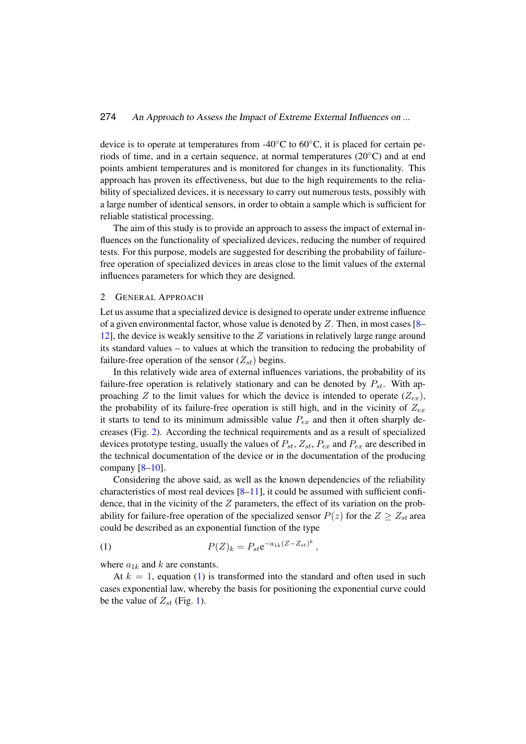device is to operate at temperatures from -40 $\rm ^{\circ}C$  to 60 $\rm ^{\circ}C$ , it is placed for certain periods of time, and in a certain sequence, at normal temperatures (20◦C) and at end points ambient temperatures and is monitored for changes in its functionality. This approach has proven its effectiveness, but due to the high requirements to the reliability of specialized devices, it is necessary to carry out numerous tests, possibly with a large number of identical sensors, in order to obtain a sample which is sufficient for reliable statistical processing.

The aim of this study is to provide an approach to assess the impact of external influences on the functionality of specialized devices, reducing the number of required tests. For this purpose, models are suggested for describing the probability of failurefree operation of specialized devices in areas close to the limit values of the external influences parameters for which they are designed.

#### 2 GENERAL APPROACH

Let us assume that a specialized device is designed to operate under extreme influence of a given environmental factor, whose value is denoted by  $Z$ . Then, in most cases [\[8–](#page-11-3) [12\]](#page-11-4), the device is weakly sensitive to the  $Z$  variations in relatively large range around its standard values – to values at which the transition to reducing the probability of failure-free operation of the sensor  $(Z_{st})$  begins.

In this relatively wide area of external influences variations, the probability of its failure-free operation is relatively stationary and can be denoted by  $P_{st}$ . With approaching Z to the limit values for which the device is intended to operate  $(Z_{ex})$ , the probability of its failure-free operation is still high, and in the vicinity of  $Z_{ex}$ it starts to tend to its minimum admissible value  $P_{ex}$  and then it often sharply decreases (Fig. [2\)](#page-5-0). According the technical requirements and as a result of specialized devices prototype testing, usually the values of  $P_{st}$ ,  $Z_{st}$ ,  $P_{ex}$  and  $P_{ex}$  are described in the technical documentation of the device or in the documentation of the producing company  $[8-10]$  $[8-10]$ .

Considering the above said, as well as the known dependencies of the reliability characteristics of most real devices  $[8-11]$  $[8-11]$ , it could be assumed with sufficient confidence, that in the vicinity of the  $Z$  parameters, the effect of its variation on the probability for failure-free operation of the specialized sensor  $P(z)$  for the  $Z \geq Z_{st}$  area could be described as an exponential function of the type

<span id="page-1-0"></span>(1) 
$$
P(Z)_k = P_{st} e^{-a_{1k}(Z - Z_{st})^k},
$$

where  $a_{1k}$  and k are constants.

At  $k = 1$ , equation [\(1\)](#page-1-0) is transformed into the standard and often used in such cases exponential law, whereby the basis for positioning the exponential curve could be the value of  $Z_{st}$  (Fig. [1\)](#page-2-0).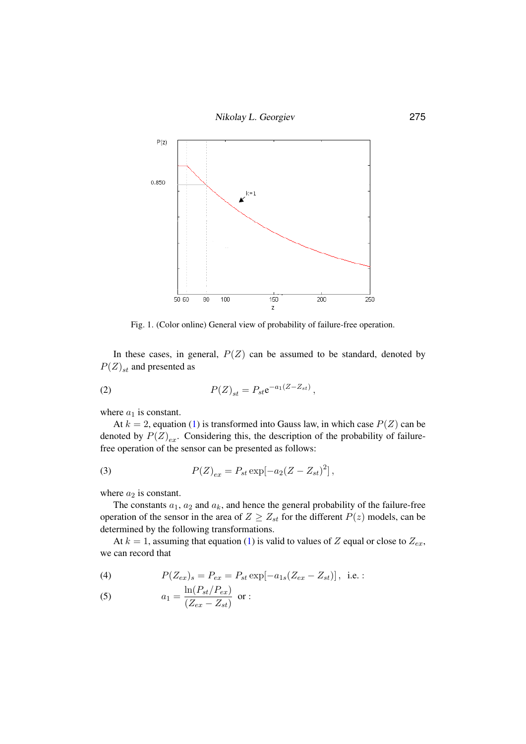



<span id="page-2-2"></span><span id="page-2-0"></span>Fig. 1. (Color online) General view of probability of failure-free operation.

 $\begin{array}{ccc} \bullet & \bullet & \bullet & \bullet & \bullet & \bullet \end{array}$ In these cases, in general,  $P(Z)$  can be assumed to be standard, denoted by  $P(Z)$  and presented as  $P(Z)_{st}$  and presented as

(2) 
$$
P(Z)_{st} = P_{st}e^{-a_1(Z - Z_{st})},
$$

where  $a_1$  is constant.

At  $k = 2$ , equation [\(1\)](#page-1-0) is transformed into Gauss law, in which case  $P(Z)$  can be denoted by  $P(Z)_{ex}$ . Considering this, the description of the probability of failurefree operation of the sensor can be presented as follows:

<span id="page-2-1"></span>(3) 
$$
P(Z)_{ex} = P_{st} \exp[-a_2(Z - Z_{st})^2],
$$

where  $a_2$  is constant.

The constants  $a_1$ ,  $a_2$  and  $a_k$ , and hence the general probability of the failure-free operation of the sensor in the area of  $Z \geq Z_{st}$  for the different  $P(z)$  models, can be determined by the following transformations.

At  $k = 1$ , assuming that equation [\(1\)](#page-1-0) is valid to values of Z equal or close to  $Z_{ex}$ , we can record that

<span id="page-2-3"></span>(4) 
$$
P(Z_{ex})_s = P_{ex} = P_{st} \exp[-a_{1s}(Z_{ex} - Z_{st})], \text{ i.e. :}
$$

(5) 
$$
a_1 = \frac{\ln(P_{st}/P_{ex})}{(Z_{ex} - Z_{st})}
$$
 or :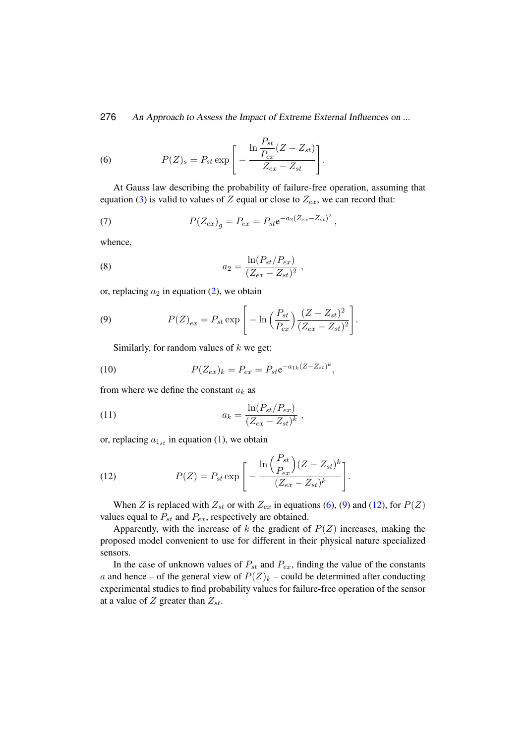<span id="page-3-0"></span>(6) 
$$
P(Z)_s = P_{st} \exp \left[ -\frac{\ln \frac{P_{st}}{P_{ex}} (Z - Z_{st})}{Z_{ex} - Z_{st}} \right].
$$

At Gauss law describing the probability of failure-free operation, assuming that equation [\(3\)](#page-2-1) is valid to values of Z equal or close to  $Z_{ex}$ , we can record that:

(7) 
$$
P(Z_{ex})_g = P_{ex} = P_{st}e^{-a_2(Z_{ex}-Z_{st})^2},
$$

whence,

(8) 
$$
a_2 = \frac{\ln(P_{st}/P_{ex})}{(Z_{ex} - Z_{st})^2},
$$

or, replacing  $a_2$  in equation [\(2\)](#page-2-2), we obtain

(9) 
$$
P(Z)_{ex} = P_{st} \exp \left[ -\ln \left( \frac{P_{st}}{P_{ex}} \right) \frac{(Z - Z_{st})^2}{(Z_{ex} - Z_{st})^2} \right].
$$

<span id="page-3-3"></span><span id="page-3-1"></span>Similarly, for random values of  $k$  we get:

(10) 
$$
P(Z_{ex})_k = P_{ex} = P_{st} e^{-a_{1k}(Z - Z_{st})^k},
$$

from where we define the constant  $a_k$  as

(11) 
$$
a_k = \frac{\ln(P_{st}/P_{ex})}{(Z_{ex} - Z_{st})^k} ,
$$

or, replacing  $a_{1st}$  in equation [\(1\)](#page-1-0), we obtain

<span id="page-3-2"></span>(12) 
$$
P(Z) = P_{st} \exp \left[ -\frac{\ln \left( \frac{P_{st}}{P_{ex}} \right) (Z - Z_{st})^k}{(Z_{ex} - Z_{st})^k} \right].
$$

When Z is replaced with  $Z_{st}$  or with  $Z_{ex}$  in equations [\(6\)](#page-3-0), [\(9\)](#page-3-1) and [\(12\)](#page-3-2), for  $P(Z)$ values equal to  $P_{st}$  and  $P_{ex}$ , respectively are obtained.

Apparently, with the increase of  $k$  the gradient of  $P(Z)$  increases, making the proposed model convenient to use for different in their physical nature specialized sensors.

In the case of unknown values of  $P_{st}$  and  $P_{ex}$ , finding the value of the constants a and hence – of the general view of  $P(Z)_k$  – could be determined after conducting experimental studies to find probability values for failure-free operation of the sensor at a value of  $Z$  greater than  $Z_{st}$ .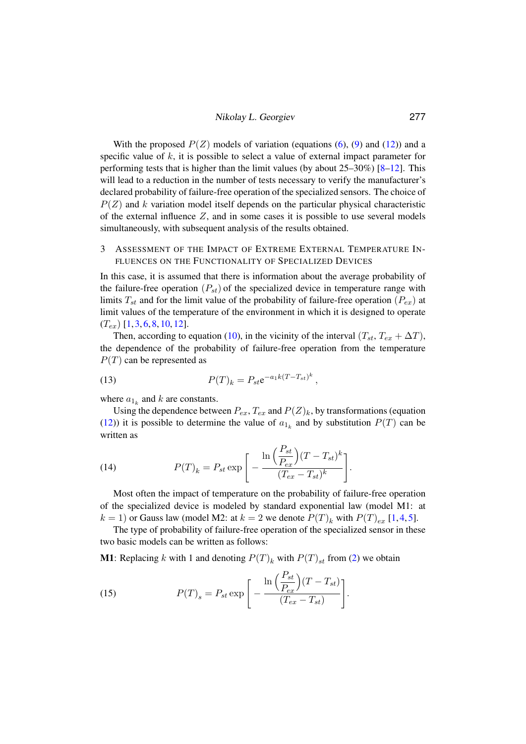With the proposed  $P(Z)$  models of variation (equations [\(6\)](#page-3-0), [\(9\)](#page-3-1) and [\(12\)](#page-3-2)) and a specific value of  $k$ , it is possible to select a value of external impact parameter for performing tests that is higher than the limit values (by about 25–30%) [\[8](#page-11-3)[–12\]](#page-11-4). This will lead to a reduction in the number of tests necessary to verify the manufacturer's declared probability of failure-free operation of the specialized sensors. The choice of  $P(Z)$  and k variation model itself depends on the particular physical characteristic of the external influence  $Z$ , and in some cases it is possible to use several models simultaneously, with subsequent analysis of the results obtained.

# 3 ASSESSMENT OF THE IMPACT OF EXTREME EXTERNAL TEMPERATURE IN-FLUENCES ON THE FUNCTIONALITY OF SPECIALIZED DEVICES

In this case, it is assumed that there is information about the average probability of the failure-free operation  $(P_{st})$  of the specialized device in temperature range with limits  $T_{st}$  and for the limit value of the probability of failure-free operation  $(P_{ex})$  at limit values of the temperature of the environment in which it is designed to operate  $(T_{ex})$  [\[1,](#page-10-0) [3,](#page-11-7) [6,](#page-11-8) [8,](#page-11-3) [10,](#page-11-5) [12\]](#page-11-4).

Then, according to equation [\(10\)](#page-3-3), in the vicinity of the interval  $(T_{st}, T_{ex} + \Delta T)$ , the dependence of the probability of failure-free operation from the temperature  $P(T)$  can be represented as

(13) 
$$
P(T)_k = P_{st} e^{-a_1 k (T - T_{st})^k},
$$

where  $a_{1_k}$  and k are constants.

Using the dependence between  $P_{ex}$ ,  $T_{ex}$  and  $P(Z)_k$ , by transformations (equation [\(12\)](#page-3-2)) it is possible to determine the value of  $a_{1k}$  and by substitution  $P(T)$  can be written as

(14) 
$$
P(T)_k = P_{st} \exp\left[-\frac{\ln\left(\frac{P_{st}}{P_{ex}}\right)(T - T_{st})^k}{(T_{ex} - T_{st})^k}\right].
$$

Most often the impact of temperature on the probability of failure-free operation of the specialized device is modeled by standard exponential law (model M1: at  $k = 1$ ) or Gauss law (model M2: at  $k = 2$  we denote  $P(T)_k$  with  $P(T)_{ex}$  [\[1,](#page-10-0) [4,](#page-11-1) [5\]](#page-11-9).

The type of probability of failure-free operation of the specialized sensor in these two basic models can be written as follows:

**M1**: Replacing k with 1 and denoting  $P(T)_k$  with  $P(T)_{st}$  from [\(2\)](#page-2-2) we obtain

(15) 
$$
P(T)_s = P_{st} \exp \left[ -\frac{\ln \left( \frac{P_{st}}{P_{ex}} \right) (T - T_{st})}{(T_{ex} - T_{st})} \right].
$$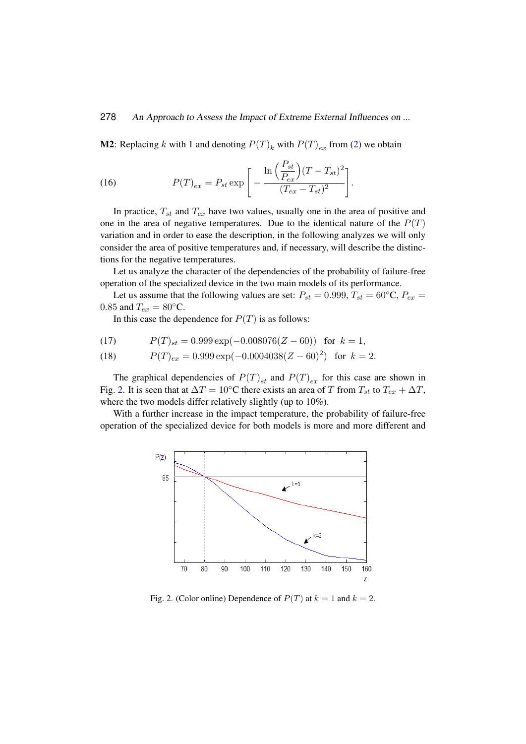**M2**: Replacing k with 1 and denoting  $P(T)_k$  with  $P(T)_{ex}$  from [\(2\)](#page-2-2) we obtain

(16) 
$$
P(T)_{ex} = P_{st} \exp \left[ -\frac{\ln \left( \frac{P_{st}}{P_{ex}} \right) (T - T_{st})^2}{(T_{ex} - T_{st})^2} \right].
$$

In practice,  $T_{st}$  and  $T_{ex}$  have two values, usually one in the area of positive and one in the area of negative temperatures. Due to the identical nature of the  $P(T)$ variation and in order to ease the description, in the following analyzes we will only consider the area of positive temperatures and, if necessary, will describe the distinctions for the negative temperatures.

Let us analyze the character of the dependencies of the probability of failure-free operation of the specialized device in the two main models of its performance.

Let us assume that the following values are set:  $P_{st} = 0.999, T_{st} = 60^{\circ}$ C,  $P_{ex} =$ 0.85 and  $T_{ex} = 80$ °C.

In this case the dependence for  $P(T)$  is as follows:

(17) 
$$
P(T)_{st} = 0.999 \exp(-0.008076(Z - 60)) \text{ for } k = 1,
$$

(18) 
$$
P(T)_{ex} = 0.999 \exp(-0.0004038(Z - 60)^{2}) \text{ for } k = 2.
$$

The graphical dependencies of  $P(T)_{st}$  and  $P(T)_{ex}$  for this case are shown in Fig. [2.](#page-5-0) It is seen that at  $\Delta T = 10$ °C there exists an area of T from  $T_{st}$  to  $T_{ex} + \Delta T$ , where the two models differ relatively slightly (up to 10%).

With a further increase in the impact temperature, the probability of failure-free operation of the specialized device for both models is more and more different and



<span id="page-5-0"></span>Fig. 2. (Color online) Dependence of  $P(T)$  at  $k = 1$  and  $k = 2$ .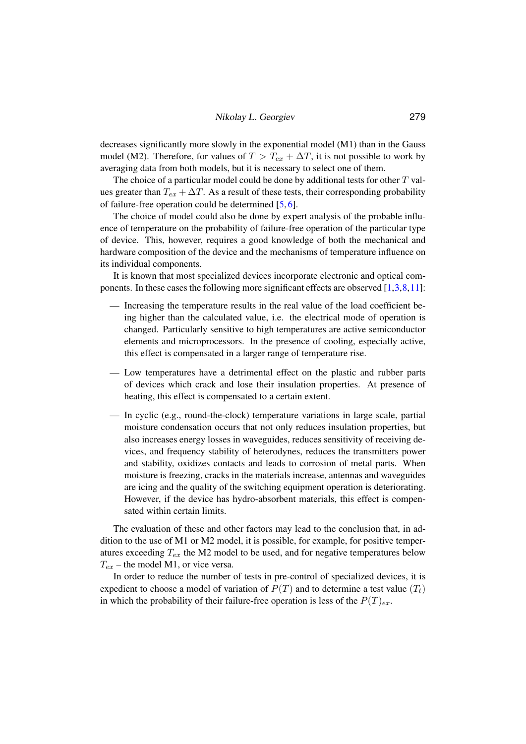decreases significantly more slowly in the exponential model (M1) than in the Gauss model (M2). Therefore, for values of  $T > T_{ex} + \Delta T$ , it is not possible to work by averaging data from both models, but it is necessary to select one of them.

The choice of a particular model could be done by additional tests for other  $T$  values greater than  $T_{ex} + \Delta T$ . As a result of these tests, their corresponding probability of failure-free operation could be determined [\[5,](#page-11-9) [6\]](#page-11-8).

The choice of model could also be done by expert analysis of the probable influence of temperature on the probability of failure-free operation of the particular type of device. This, however, requires a good knowledge of both the mechanical and hardware composition of the device and the mechanisms of temperature influence on its individual components.

It is known that most specialized devices incorporate electronic and optical components. In these cases the following more significant effects are observed [\[1,](#page-10-0)[3,](#page-11-7)[8,](#page-11-3)[11\]](#page-11-6):

- Increasing the temperature results in the real value of the load coefficient being higher than the calculated value, i.e. the electrical mode of operation is changed. Particularly sensitive to high temperatures are active semiconductor elements and microprocessors. In the presence of cooling, especially active, this effect is compensated in a larger range of temperature rise.
- Low temperatures have a detrimental effect on the plastic and rubber parts of devices which crack and lose their insulation properties. At presence of heating, this effect is compensated to a certain extent.
- In cyclic (e.g., round-the-clock) temperature variations in large scale, partial moisture condensation occurs that not only reduces insulation properties, but also increases energy losses in waveguides, reduces sensitivity of receiving devices, and frequency stability of heterodynes, reduces the transmitters power and stability, oxidizes contacts and leads to corrosion of metal parts. When moisture is freezing, cracks in the materials increase, antennas and waveguides are icing and the quality of the switching equipment operation is deteriorating. However, if the device has hydro-absorbent materials, this effect is compensated within certain limits.

The evaluation of these and other factors may lead to the conclusion that, in addition to the use of M1 or M2 model, it is possible, for example, for positive temperatures exceeding  $T_{ex}$  the M2 model to be used, and for negative temperatures below  $T_{ex}$  – the model M1, or vice versa.

In order to reduce the number of tests in pre-control of specialized devices, it is expedient to choose a model of variation of  $P(T)$  and to determine a test value  $(T_t)$ in which the probability of their failure-free operation is less of the  $P(T)_{ex}$ .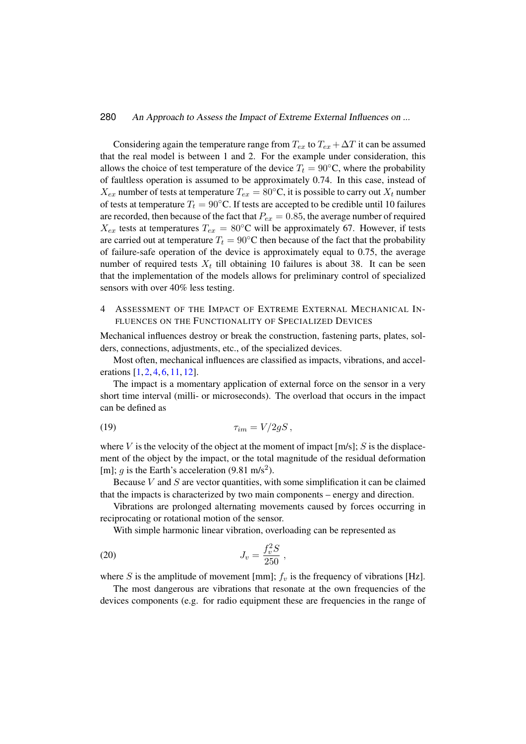Considering again the temperature range from  $T_{ex}$  to  $T_{ex} + \Delta T$  it can be assumed that the real model is between 1 and 2. For the example under consideration, this allows the choice of test temperature of the device  $T_t = 90$ °C, where the probability of faultless operation is assumed to be approximately 0.74. In this case, instead of  $X_{ex}$  number of tests at temperature  $T_{ex} = 80^{\circ}\text{C}$ , it is possible to carry out  $X_t$  number of tests at temperature  $T_t = 90$ °C. If tests are accepted to be credible until 10 failures are recorded, then because of the fact that  $P_{ex} = 0.85$ , the average number of required  $X_{ex}$  tests at temperatures  $T_{ex} = 80^{\circ}\text{C}$  will be approximately 67. However, if tests are carried out at temperature  $T_t = 90$ °C then because of the fact that the probability of failure-safe operation of the device is approximately equal to 0.75, the average number of required tests  $X_t$  till obtaining 10 failures is about 38. It can be seen that the implementation of the models allows for preliminary control of specialized sensors with over 40% less testing.

# 4 ASSESSMENT OF THE IMPACT OF EXTREME EXTERNAL MECHANICAL IN-FLUENCES ON THE FUNCTIONALITY OF SPECIALIZED DEVICES

Mechanical influences destroy or break the construction, fastening parts, plates, solders, connections, adjustments, etc., of the specialized devices.

Most often, mechanical influences are classified as impacts, vibrations, and accel-erations [\[1,](#page-10-0) [2,](#page-10-1) [4,](#page-11-1) [6,](#page-11-8) [11,](#page-11-6) [12\]](#page-11-4).

The impact is a momentary application of external force on the sensor in a very short time interval (milli- or microseconds). The overload that occurs in the impact can be defined as

$$
\tau_{im} = V/2gS\,,
$$

where V is the velocity of the object at the moment of impact  $[m/s]$ ; S is the displacement of the object by the impact, or the total magnitude of the residual deformation [m]; g is the Earth's acceleration (9.81 m/s<sup>2</sup>).

Because  $V$  and  $S$  are vector quantities, with some simplification it can be claimed that the impacts is characterized by two main components – energy and direction.

Vibrations are prolonged alternating movements caused by forces occurring in reciprocating or rotational motion of the sensor.

With simple harmonic linear vibration, overloading can be represented as

(20) 
$$
J_v = \frac{f_v^2 S}{250} ,
$$

where S is the amplitude of movement [mm];  $f<sub>v</sub>$  is the frequency of vibrations [Hz].

The most dangerous are vibrations that resonate at the own frequencies of the devices components (e.g. for radio equipment these are frequencies in the range of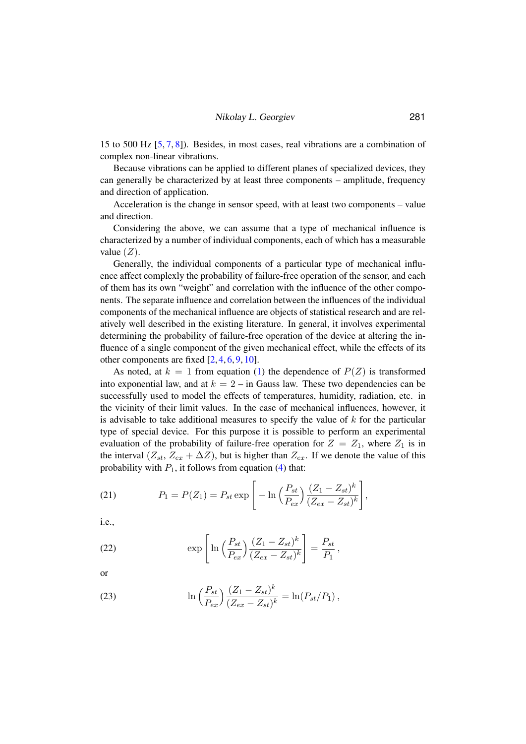15 to 500 Hz [\[5,](#page-11-9) [7,](#page-11-2) [8\]](#page-11-3)). Besides, in most cases, real vibrations are a combination of complex non-linear vibrations.

Because vibrations can be applied to different planes of specialized devices, they can generally be characterized by at least three components – amplitude, frequency and direction of application.

Acceleration is the change in sensor speed, with at least two components – value and direction.

Considering the above, we can assume that a type of mechanical influence is characterized by a number of individual components, each of which has a measurable value  $(Z)$ .

Generally, the individual components of a particular type of mechanical influence affect complexly the probability of failure-free operation of the sensor, and each of them has its own "weight" and correlation with the influence of the other components. The separate influence and correlation between the influences of the individual components of the mechanical influence are objects of statistical research and are relatively well described in the existing literature. In general, it involves experimental determining the probability of failure-free operation of the device at altering the influence of a single component of the given mechanical effect, while the effects of its other components are fixed  $[2, 4, 6, 9, 10]$  $[2, 4, 6, 9, 10]$  $[2, 4, 6, 9, 10]$  $[2, 4, 6, 9, 10]$  $[2, 4, 6, 9, 10]$  $[2, 4, 6, 9, 10]$  $[2, 4, 6, 9, 10]$  $[2, 4, 6, 9, 10]$  $[2, 4, 6, 9, 10]$ .

As noted, at  $k = 1$  from equation [\(1\)](#page-1-0) the dependence of  $P(Z)$  is transformed into exponential law, and at  $k = 2 -$  in Gauss law. These two dependencies can be successfully used to model the effects of temperatures, humidity, radiation, etc. in the vicinity of their limit values. In the case of mechanical influences, however, it is advisable to take additional measures to specify the value of  $k$  for the particular type of special device. For this purpose it is possible to perform an experimental evaluation of the probability of failure-free operation for  $Z = Z_1$ , where  $Z_1$  is in the interval  $(Z_{st}, Z_{ex} + \Delta Z)$ , but is higher than  $Z_{ex}$ . If we denote the value of this probability with  $P_1$ , it follows from equation [\(4\)](#page-2-3) that:

(21) 
$$
P_1 = P(Z_1) = P_{st} \exp \left[ -\ln \left( \frac{P_{st}}{P_{ex}} \right) \frac{(Z_1 - Z_{st})^k}{(Z_{ex} - Z_{st})^k} \right],
$$

i.e.,

(22) 
$$
\exp\left[\ln\left(\frac{P_{st}}{P_{ex}}\right)\frac{(Z_1 - Z_{st})^k}{(Z_{ex} - Z_{st})^k}\right] = \frac{P_{st}}{P_1},
$$

or

(23) 
$$
\ln\left(\frac{P_{st}}{P_{ex}}\right)\frac{(Z_1 - Z_{st})^k}{(Z_{ex} - Z_{st})^k} = \ln(P_{st}/P_1),
$$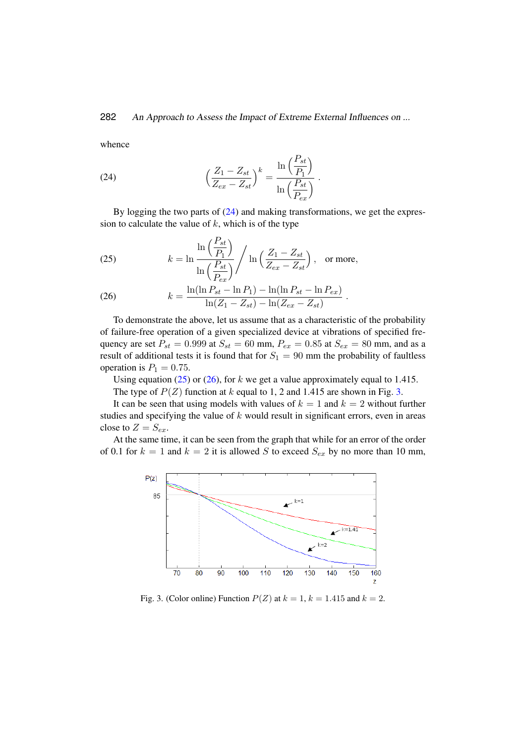whence

<span id="page-9-0"></span>(24) 
$$
\left(\frac{Z_1 - Z_{st}}{Z_{ex} - Z_{st}}\right)^k = \frac{\ln\left(\frac{P_{st}}{P_1}\right)}{\ln\left(\frac{P_{st}}{P_{ex}}\right)}.
$$

By logging the two parts of [\(24\)](#page-9-0) and making transformations, we get the expression to calculate the value of  $k$ , which is of the type

<span id="page-9-1"></span>(25) 
$$
k = \ln \frac{\ln \left(\frac{P_{st}}{P_1}\right)}{\ln \left(\frac{P_{st}}{P_{ex}}\right)} / \ln \left(\frac{Z_1 - Z_{st}}{Z_{ex} - Z_{st}}\right), \text{ or more,}
$$

<span id="page-9-2"></span>(26) 
$$
k = \frac{\ln(\ln P_{st} - \ln P_1) - \ln(\ln P_{st} - \ln P_{ex})}{\ln(Z_1 - Z_{st}) - \ln(Z_{ex} - Z_{st})}.
$$

To demonstrate the above, let us assume that as a characteristic of the probability of failure-free operation of a given specialized device at vibrations of specified frequency are set  $P_{st} = 0.999$  at  $S_{st} = 60$  mm,  $P_{ex} = 0.85$  at  $S_{ex} = 80$  mm, and as a result of additional tests it is found that for  $S_1 = 90$  mm the probability of faultless operation is  $P_1 = 0.75$ .

Using equation [\(25\)](#page-9-1) or [\(26\)](#page-9-2), for k we get a value approximately equal to 1.415.

The type of  $P(Z)$  function at k equal to 1, 2 and 1.415 are shown in Fig. [3.](#page-9-3)

It can be seen that using models with values of  $k = 1$  and  $k = 2$  without further studies and specifying the value of  $k$  would result in significant errors, even in areas close to  $Z = S_{ex}$ .

At the same time, it can be seen from the graph that while for an error of the order of 0.1 for  $k = 1$  and  $k = 2$  it is allowed S to exceed  $S_{ex}$  by no more than 10 mm,



<span id="page-9-3"></span>Fig. 3. (Color online) Function  $P(Z)$  at  $k = 1$ ,  $k = 1.415$  and  $k = 2$ .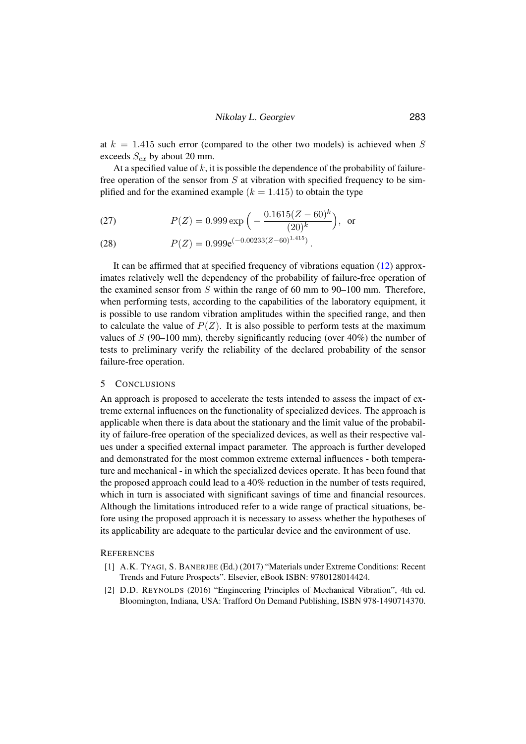at  $k = 1.415$  such error (compared to the other two models) is achieved when S exceeds  $S_{ex}$  by about 20 mm.

At a specified value of  $k$ , it is possible the dependence of the probability of failurefree operation of the sensor from  $S$  at vibration with specified frequency to be simplified and for the examined example  $(k = 1.415)$  to obtain the type

(27) 
$$
P(Z) = 0.999 \exp\left(-\frac{0.1615(Z - 60)^k}{(20)^k}\right), \text{ or}
$$

(28) 
$$
P(Z) = 0.999e^{(-0.00233(Z-60)^{1.415})}.
$$

It can be affirmed that at specified frequency of vibrations equation [\(12\)](#page-3-2) approximates relatively well the dependency of the probability of failure-free operation of the examined sensor from S within the range of 60 mm to 90–100 mm. Therefore, when performing tests, according to the capabilities of the laboratory equipment, it is possible to use random vibration amplitudes within the specified range, and then to calculate the value of  $P(Z)$ . It is also possible to perform tests at the maximum values of  $S$  (90–100 mm), thereby significantly reducing (over 40%) the number of tests to preliminary verify the reliability of the declared probability of the sensor failure-free operation.

#### 5 CONCLUSIONS

An approach is proposed to accelerate the tests intended to assess the impact of extreme external influences on the functionality of specialized devices. The approach is applicable when there is data about the stationary and the limit value of the probability of failure-free operation of the specialized devices, as well as their respective values under a specified external impact parameter. The approach is further developed and demonstrated for the most common extreme external influences - both temperature and mechanical - in which the specialized devices operate. It has been found that the proposed approach could lead to a 40% reduction in the number of tests required, which in turn is associated with significant savings of time and financial resources. Although the limitations introduced refer to a wide range of practical situations, before using the proposed approach it is necessary to assess whether the hypotheses of its applicability are adequate to the particular device and the environment of use.

#### <span id="page-10-0"></span>**REFERENCES**

- [1] A.K. TYAGI, S. BANERJEE (Ed.) (2017) "Materials under Extreme Conditions: Recent Trends and Future Prospects". Elsevier, eBook ISBN: 9780128014424.
- <span id="page-10-1"></span>[2] D.D. REYNOLDS (2016) "Engineering Principles of Mechanical Vibration", 4th ed. Bloomington, Indiana, USA: Trafford On Demand Publishing, ISBN 978-1490714370.